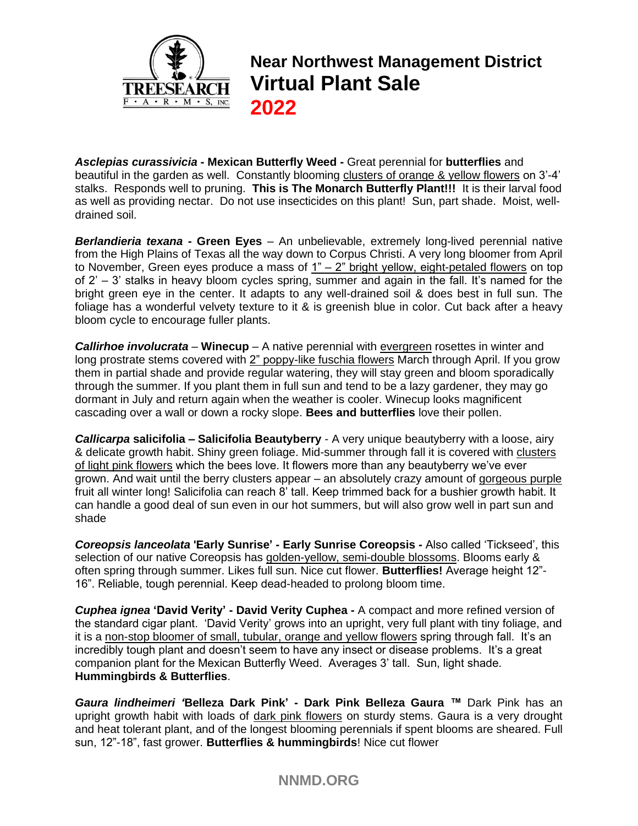

**Near Northwest Management District Virtual Plant Sale 2022**

*Asclepias curassivicia* **- Mexican Butterfly Weed -** Great perennial for **butterflies** and beautiful in the garden as well. Constantly blooming clusters of orange & yellow flowers on 3'-4' stalks. Responds well to pruning. **This is The Monarch Butterfly Plant!!!** It is their larval food as well as providing nectar. Do not use insecticides on this plant! Sun, part shade. Moist, welldrained soil.

*Berlandieria texana* **- Green Eyes** – An unbelievable, extremely long-lived perennial native from the High Plains of Texas all the way down to Corpus Christi. A very long bloomer from April to November, Green eyes produce a mass of  $1" - 2"$  bright yellow, eight-petaled flowers on top of 2' – 3' stalks in heavy bloom cycles spring, summer and again in the fall. It's named for the bright green eye in the center. It adapts to any well-drained soil & does best in full sun. The foliage has a wonderful velvety texture to it & is greenish blue in color. Cut back after a heavy bloom cycle to encourage fuller plants.

**Callirhoe involucrata** – **Winecup** – A native perennial with evergreen rosettes in winter and long prostrate stems covered with 2" poppy-like fuschia flowers March through April. If you grow them in partial shade and provide regular watering, they will stay green and bloom sporadically through the summer. If you plant them in full sun and tend to be a lazy gardener, they may go dormant in July and return again when the weather is cooler. Winecup looks magnificent cascading over a wall or down a rocky slope. **Bees and butterflies** love their pollen.

*Callicarpa* **salicifolia – Salicifolia Beautyberry** - A very unique beautyberry with a loose, airy & delicate growth habit. Shiny green foliage. Mid-summer through fall it is covered with clusters of light pink flowers which the bees love. It flowers more than any beautyberry we've ever grown. And wait until the berry clusters appear – an absolutely crazy amount of gorgeous purple fruit all winter long! Salicifolia can reach 8' tall. Keep trimmed back for a bushier growth habit. It can handle a good deal of sun even in our hot summers, but will also grow well in part sun and shade

*Coreopsis lanceolata* **'Early Sunrise' - Early Sunrise Coreopsis** *-* Also called 'Tickseed', this selection of our native Coreopsis has golden-yellow, semi-double blossoms. Blooms early & often spring through summer. Likes full sun. Nice cut flower. **Butterflies!** Average height 12"- 16". Reliable, tough perennial. Keep dead-headed to prolong bloom time.

*Cuphea ignea* **'David Verity' - David Verity Cuphea -** A compact and more refined version of the standard cigar plant. 'David Verity' grows into an upright, very full plant with tiny foliage, and it is a non-stop bloomer of small, tubular, orange and yellow flowers spring through fall. It's an incredibly tough plant and doesn't seem to have any insect or disease problems. It's a great companion plant for the Mexican Butterfly Weed. Averages 3' tall. Sun, light shade. **Hummingbirds & Butterflies**.

*Gaura lindheimeri '***Belleza Dark Pink' - Dark Pink Belleza Gaura** *™* Dark Pink has an upright growth habit with loads of dark pink flowers on sturdy stems. Gaura is a very drought and heat tolerant plant, and of the longest blooming perennials if spent blooms are sheared. Full sun, 12"-18", fast grower. **Butterflies & hummingbirds**! Nice cut flower

# **NNMD.ORG**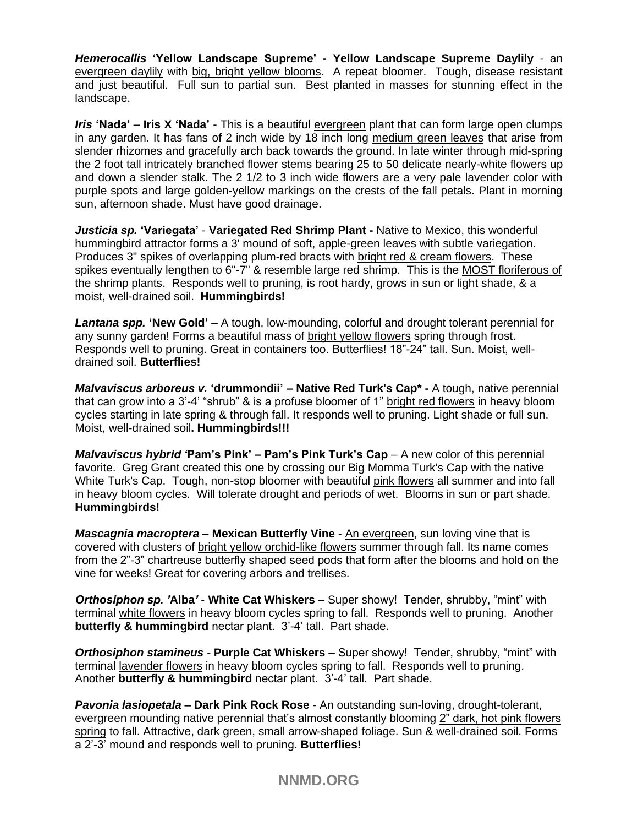*Hemerocallis* **'Yellow Landscape Supreme' - Yellow Landscape Supreme Daylily** - an evergreen daylily with big, bright yellow blooms. A repeat bloomer. Tough, disease resistant and just beautiful. Full sun to partial sun. Best planted in masses for stunning effect in the landscape.

*Iris* **'Nada' – Iris X 'Nada' -** This is a beautiful evergreen plant that can form large open clumps in any garden. It has fans of 2 inch wide by 18 inch long medium green leaves that arise from slender rhizomes and gracefully arch back towards the ground. In late winter through mid-spring the 2 foot tall intricately branched flower stems bearing 25 to 50 delicate nearly-white flowers up and down a slender stalk. The 2 1/2 to 3 inch wide flowers are a very pale lavender color with purple spots and large golden-yellow markings on the crests of the fall petals. Plant in morning sun, afternoon shade. Must have good drainage.

*Justicia sp.* **'Variegata'** *-* **Variegated Red Shrimp Plant -** Native to Mexico, this wonderful hummingbird attractor forms a 3' mound of soft, apple-green leaves with subtle variegation. Produces 3" spikes of overlapping plum-red bracts with bright red & cream flowers. These spikes eventually lengthen to 6"-7" & resemble large red shrimp. This is the MOST floriferous of the shrimp plants. Responds well to pruning, is root hardy, grows in sun or light shade, & a moist, well-drained soil. **Hummingbirds!**

*Lantana spp.* **'New Gold' –** A tough, low-mounding, colorful and drought tolerant perennial for any sunny garden! Forms a beautiful mass of bright yellow flowers spring through frost. Responds well to pruning. Great in containers too. Butterflies! 18"-24" tall. Sun. Moist, welldrained soil. **Butterflies!**

*Malvaviscus arboreus v.* **'drummondii' – Native Red Turk's Cap\* -** A tough, native perennial that can grow into a 3'-4' "shrub" & is a profuse bloomer of 1" bright red flowers in heavy bloom cycles starting in late spring & through fall. It responds well to pruning. Light shade or full sun. Moist, well-drained soil**. Hummingbirds!!!**

*Malvaviscus hybrid '***Pam's Pink' – Pam's Pink Turk's Cap** – A new color of this perennial favorite. Greg Grant created this one by crossing our Big Momma Turk's Cap with the native White Turk's Cap. Tough, non-stop bloomer with beautiful pink flowers all summer and into fall in heavy bloom cycles. Will tolerate drought and periods of wet. Blooms in sun or part shade. **Hummingbirds!**

*Mascagnia macroptera –* **Mexican Butterfly Vine** - An evergreen, sun loving vine that is covered with clusters of bright yellow orchid-like flowers summer through fall. Its name comes from the 2"-3" chartreuse butterfly shaped seed pods that form after the blooms and hold on the vine for weeks! Great for covering arbors and trellises.

*Orthosiphon sp. '***Alba***'* - **White Cat Whiskers –** Super showy! Tender, shrubby, "mint" with terminal white flowers in heavy bloom cycles spring to fall. Responds well to pruning. Another **butterfly & hummingbird** nectar plant. 3'-4' tall. Part shade.

*Orthosiphon stamineus -* **Purple Cat Whiskers** – Super showy! Tender, shrubby, "mint" with terminal lavender flowers in heavy bloom cycles spring to fall. Responds well to pruning. Another **butterfly & hummingbird** nectar plant. 3'-4' tall. Part shade.

*Pavonia lasiopetala* **– Dark Pink Rock Rose** - An outstanding sun-loving, drought-tolerant, evergreen mounding native perennial that's almost constantly blooming 2" dark, hot pink flowers spring to fall. Attractive, dark green, small arrow-shaped foliage. Sun & well-drained soil. Forms a 2'-3' mound and responds well to pruning. **Butterflies!** 

**NNMD.ORG**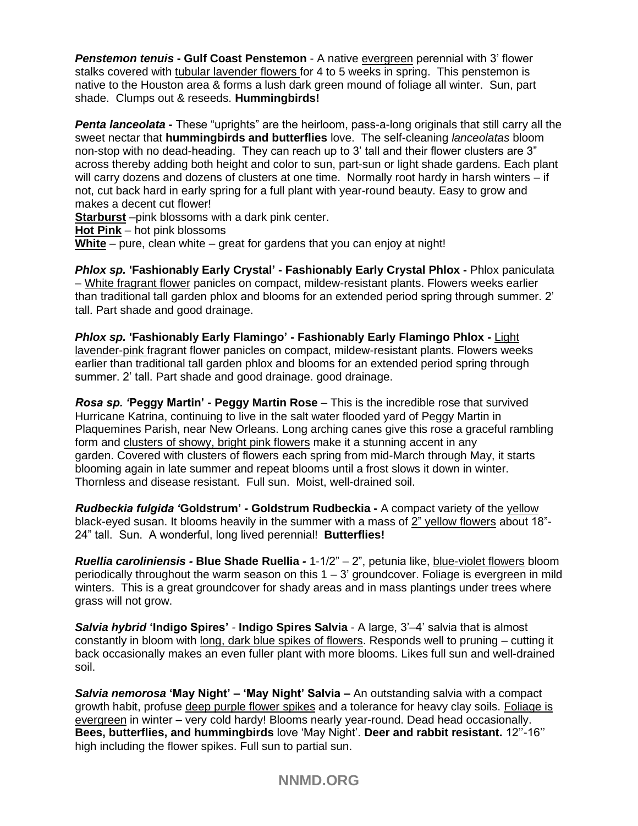*Penstemon tenuis* **- Gulf Coast Penstemon** - A native evergreen perennial with 3' flower stalks covered with tubular lavender flowers for 4 to 5 weeks in spring. This penstemon is native to the Houston area & forms a lush dark green mound of foliage all winter. Sun, part shade. Clumps out & reseeds. **Hummingbirds!**

**Penta lanceolata -** These "uprights" are the heirloom, pass-a-long originals that still carry all the sweet nectar that **hummingbirds and butterflies** love. The self-cleaning *lanceolatas* bloom non-stop with no dead-heading. They can reach up to 3' tall and their flower clusters are 3" across thereby adding both height and color to sun, part-sun or light shade gardens. Each plant will carry dozens and dozens of clusters at one time. Normally root hardy in harsh winters – if not, cut back hard in early spring for a full plant with year-round beauty. Easy to grow and makes a decent cut flower!

**Starburst** –pink blossoms with a dark pink center.

**Hot Pink** – hot pink blossoms

**White** – pure, clean white – great for gardens that you can enjoy at night!

*Phlox sp.* **'Fashionably Early Crystal' - Fashionably Early Crystal Phlox -** Phlox paniculata – White fragrant flower panicles on compact, mildew-resistant plants. Flowers weeks earlier than traditional tall garden phlox and blooms for an extended period spring through summer. 2' tall. Part shade and good drainage.

*Phlox sp.* **'Fashionably Early Flamingo' - Fashionably Early Flamingo Phlox -** Light lavender-pink fragrant flower panicles on compact, mildew-resistant plants. Flowers weeks earlier than traditional tall garden phlox and blooms for an extended period spring through summer. 2' tall. Part shade and good drainage. good drainage.

*Rosa sp. '***Peggy Martin' - Peggy Martin Rose** – This is the incredible rose that survived Hurricane Katrina, continuing to live in the salt water flooded yard of Peggy Martin in Plaquemines Parish, near New Orleans. Long arching canes give this rose a graceful rambling form and clusters of showy, bright pink flowers make it a stunning accent in any garden. Covered with clusters of flowers each spring from mid-March through May, it starts blooming again in late summer and repeat blooms until a frost slows it down in winter. Thornless and disease resistant. Full sun. Moist, well-drained soil.

*Rudbeckia fulgida '***Goldstrum'** *-* **Goldstrum Rudbeckia -** A compact variety of the yellow black-eyed susan. It blooms heavily in the summer with a mass of 2" yellow flowers about 18"- 24" tall. Sun. A wonderful, long lived perennial! **Butterflies!**

*Ruellia caroliniensis -* **Blue Shade Ruellia** *-* 1-1/2" – 2", petunia like, blue-violet flowers bloom periodically throughout the warm season on this 1 – 3' groundcover. Foliage is evergreen in mild winters. This is a great groundcover for shady areas and in mass plantings under trees where grass will not grow.

*Salvia hybrid* **'Indigo Spires'** *-* **Indigo Spires Salvia** - A large, 3'–4' salvia that is almost constantly in bloom with long, dark blue spikes of flowers. Responds well to pruning – cutting it back occasionally makes an even fuller plant with more blooms. Likes full sun and well-drained soil.

*Salvia nemorosa* **'May Night' – 'May Night' Salvia –** An outstanding salvia with a compact growth habit, profuse deep purple flower spikes and a tolerance for heavy clay soils. Foliage is evergreen in winter – very cold hardy! Blooms nearly year-round. Dead head occasionally. **Bees, butterflies, and hummingbirds** love 'May Night'. **Deer and rabbit resistant.** 12''-16'' high including the flower spikes. Full sun to partial sun.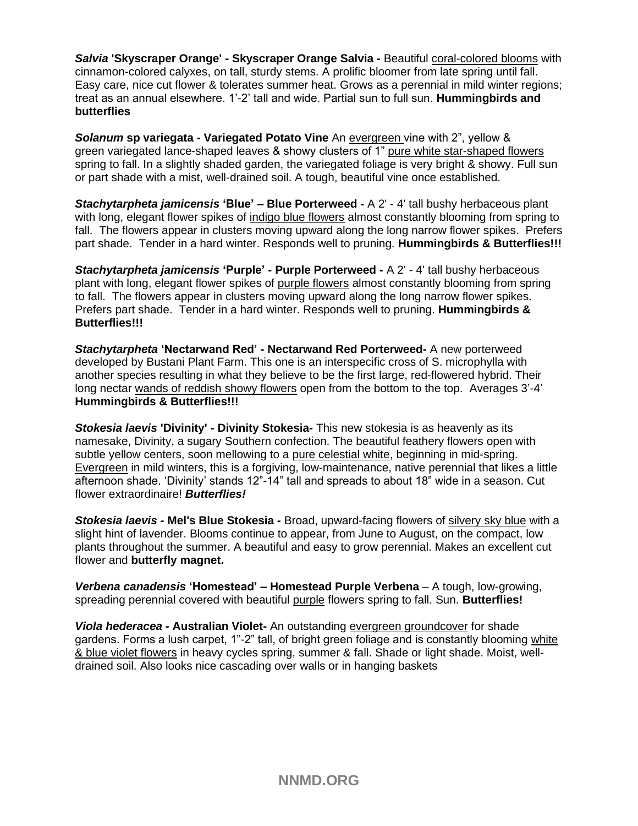*Salvia* **'Skyscraper Orange' - Skyscraper Orange Salvia** *-* Beautiful coral-colored blooms with cinnamon-colored calyxes, on tall, sturdy stems. A prolific bloomer from late spring until fall. Easy care, nice cut flower & tolerates summer heat. Grows as a perennial in mild winter regions; treat as an annual elsewhere. 1'-2' tall and wide. Partial sun to full sun. **Hummingbirds and butterflies**

*Solanum* **sp variegata** *-* **Variegated Potato Vine** An evergreen vine with 2", yellow & green variegated lance-shaped leaves & showy clusters of 1" pure white star-shaped flowers spring to fall. In a slightly shaded garden, the variegated foliage is very bright & showy. Full sun or part shade with a mist, well-drained soil. A tough, beautiful vine once established.

*Stachytarpheta jamicensis* **'Blue'** *–* **Blue Porterweed -** A 2' - 4' tall bushy herbaceous plant with long, elegant flower spikes of indigo blue flowers almost constantly blooming from spring to fall. The flowers appear in clusters moving upward along the long narrow flower spikes. Prefers part shade. Tender in a hard winter. Responds well to pruning. **Hummingbirds & Butterflies!!!**

*Stachytarpheta jamicensis* **'Purple'** *-* **Purple Porterweed -** A 2' - 4' tall bushy herbaceous plant with long, elegant flower spikes of purple flowers almost constantly blooming from spring to fall. The flowers appear in clusters moving upward along the long narrow flower spikes. Prefers part shade. Tender in a hard winter. Responds well to pruning. **Hummingbirds & Butterflies!!!**

*Stachytarpheta* **'Nectarwand Red' - Nectarwand Red Porterweed-** A new porterweed developed by Bustani Plant Farm. This one is an interspecific cross of S. microphylla with another species resulting in what they believe to be the first large, red-flowered hybrid. Their long nectar wands of reddish showy flowers open from the bottom to the top. Averages 3'-4' **Hummingbirds & Butterflies!!!**

*Stokesia laevis* **'Divinity' - Divinity Stokesia***-* This new stokesia is as heavenly as its namesake, Divinity, a sugary Southern confection. The beautiful feathery flowers open with subtle yellow centers, soon mellowing to a pure celestial white, beginning in mid-spring. Evergreen in mild winters, this is a forgiving, low-maintenance, native perennial that likes a little afternoon shade. 'Divinity' stands 12"-14" tall and spreads to about 18" wide in a season. Cut flower extraordinaire! *Butterflies!*

*Stokesia laevis -* **Mel's Blue Stokesia** *-* Broad, upward-facing flowers of silvery sky blue with a slight hint of lavender. Blooms continue to appear, from June to August, on the compact, low plants throughout the summer. A beautiful and easy to grow perennial. Makes an excellent cut flower and **butterfly magnet.**

*Verbena canadensis* **'Homestead' – Homestead Purple Verbena** – A tough, low-growing, spreading perennial covered with beautiful purple flowers spring to fall. Sun. **Butterflies!**

*Viola hederacea -* **Australian Violet-** An outstanding evergreen groundcover for shade gardens. Forms a lush carpet, 1"-2" tall, of bright green foliage and is constantly blooming white & blue violet flowers in heavy cycles spring, summer & fall. Shade or light shade. Moist, welldrained soil. Also looks nice cascading over walls or in hanging baskets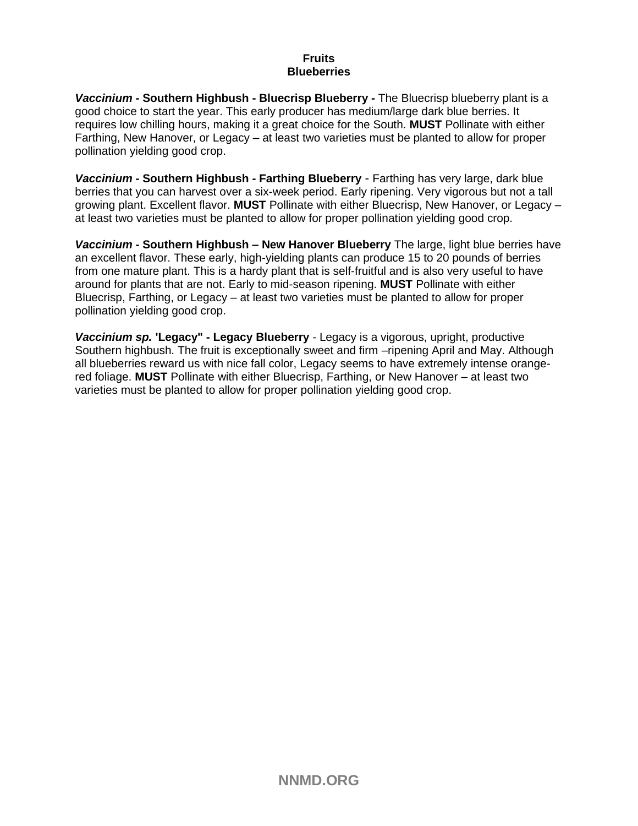#### **Fruits Blueberries**

*Vaccinium -* **Southern Highbush - Bluecrisp Blueberry** *-* The Bluecrisp blueberry plant is a good choice to start the year. This early producer has medium/large dark blue berries. It requires low chilling hours, making it a great choice for the South. **MUST** Pollinate with either Farthing, New Hanover, or Legacy – at least two varieties must be planted to allow for proper pollination yielding good crop.

*Vaccinium -* **Southern Highbush - Farthing Blueberry** - Farthing has very large, dark blue berries that you can harvest over a six-week period. Early ripening. Very vigorous but not a tall growing plant. Excellent flavor. **MUST** Pollinate with either Bluecrisp, New Hanover, or Legacy – at least two varieties must be planted to allow for proper pollination yielding good crop.

*Vaccinium -* **Southern Highbush** *–* **New Hanover Blueberry** The large, light blue berries have an excellent flavor. These early, high-yielding plants can produce 15 to 20 pounds of berries from one mature plant. This is a hardy plant that is self-fruitful and is also very useful to have around for plants that are not. Early to mid-season ripening. **MUST** Pollinate with either Bluecrisp, Farthing, or Legacy – at least two varieties must be planted to allow for proper pollination yielding good crop.

*Vaccinium sp.* **'Legacy" - Legacy Blueberry** - Legacy is a vigorous, upright, productive Southern highbush. The fruit is exceptionally sweet and firm –ripening April and May. Although all blueberries reward us with nice fall color, Legacy seems to have extremely intense orangered foliage. **MUST** Pollinate with either Bluecrisp, Farthing, or New Hanover – at least two varieties must be planted to allow for proper pollination yielding good crop.